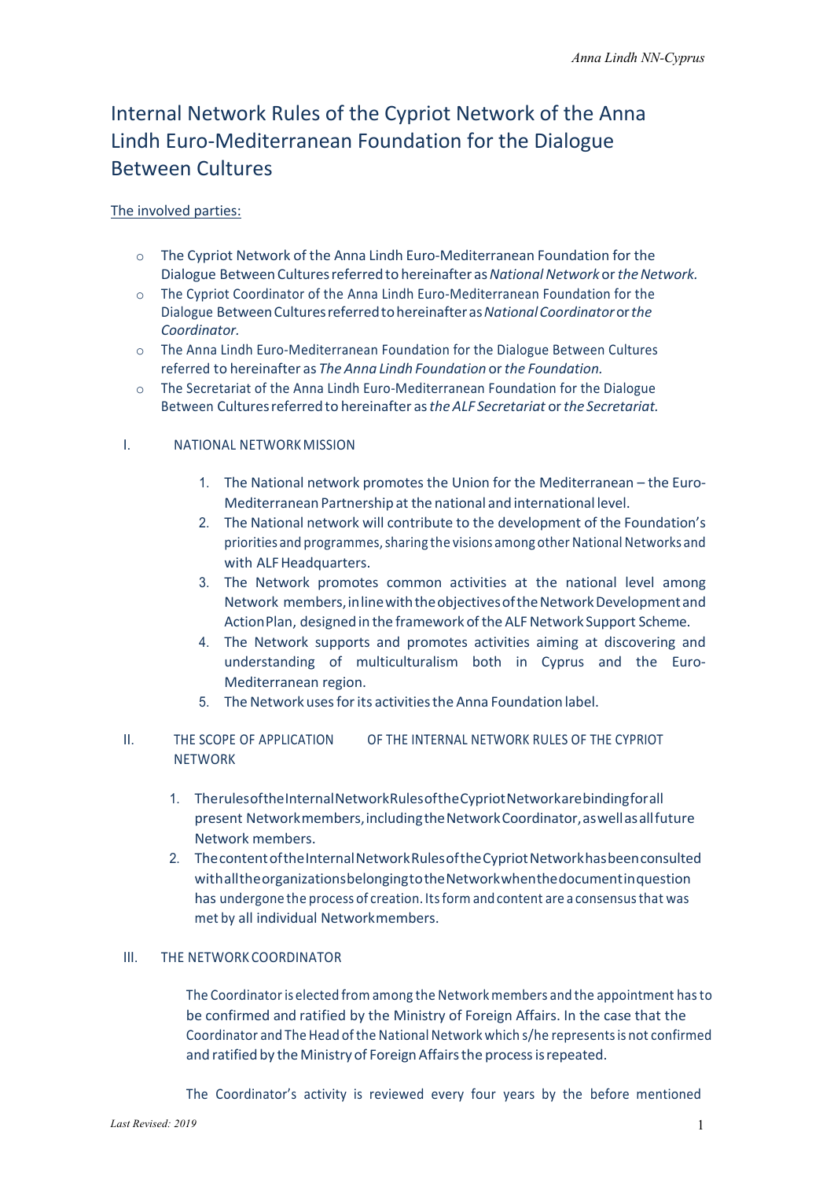# Internal Network Rules of the Cypriot Network of the Anna Lindh Euro-Mediterranean Foundation for the Dialogue Between Cultures

## The involved parties:

- $\circ$  The Cypriot Network of the Anna Lindh Euro-Mediterranean Foundation for the Dialogue Between Cultures referred to hereinafter as National Network or the Network.
- o The Cypriot Coordinator of the Anna Lindh Euro-Mediterranean Foundation for the Dialogue BetweenCulturesreferredtohereinafteras*NationalCoordinator*or*the Coordinator.*
- o The Anna Lindh Euro-Mediterranean Foundation for the Dialogue Between Cultures referred to hereinafter as *The Anna Lindh Foundation* or*the Foundation.*
- $\circ$  The Secretariat of the Anna Lindh Euro-Mediterranean Foundation for the Dialogue Between Culturesreferredto hereinafter as*the ALF Secretariat* or*the Secretariat.*

#### I. NATIONAL NETWORKMISSION

- 1. The National network promotes the Union for the Mediterranean the Euro-MediterraneanPartnership at the national and international level.
- 2. The National network will contribute to the development of the Foundation's priorities and programmes, sharing the visions among other National Networks and with ALF Headquarters.
- 3. The Network promotes common activities at the national level among Network members, inline with the objectives of the Network Development and Action Plan, designed in the framework of the ALF Network Support Scheme.
- 4. The Network supports and promotes activities aiming at discovering and understanding of multiculturalism both in Cyprus and the Euro-Mediterranean region.
- 5. The Network uses for its activities the Anna Foundation label.

# II. THE SCOPE OF APPLICATION OF THE INTERNAL NETWORK RULES OF THE CYPRIOT NETWORK

- 1. Therules of the Internal Network Rules of the Cypriot Network are binding for all present Networkmembers,includingtheNetworkCoordinator,aswellasallfuture Network members.
- 2. The content of the Internal Network Rules of the Cypriot Network has been consulted withalltheorganizationsbelongingtotheNetworkwhenthedocumentinquestion has undergone the process of creation. Itsform and content are a consensusthat was met by all individual Networkmembers.

#### III. THE NETWORK COORDINATOR

The Coordinator is elected from among the Network members and the appointment has to be confirmed and ratified by the Ministry of Foreign Affairs. In the case that the Coordinator and The Head of the National Network which s/he represents is not confirmed and ratified by the Ministry of Foreign Affairs the process is repeated.

The Coordinator's activity is reviewed every four years by the before mentioned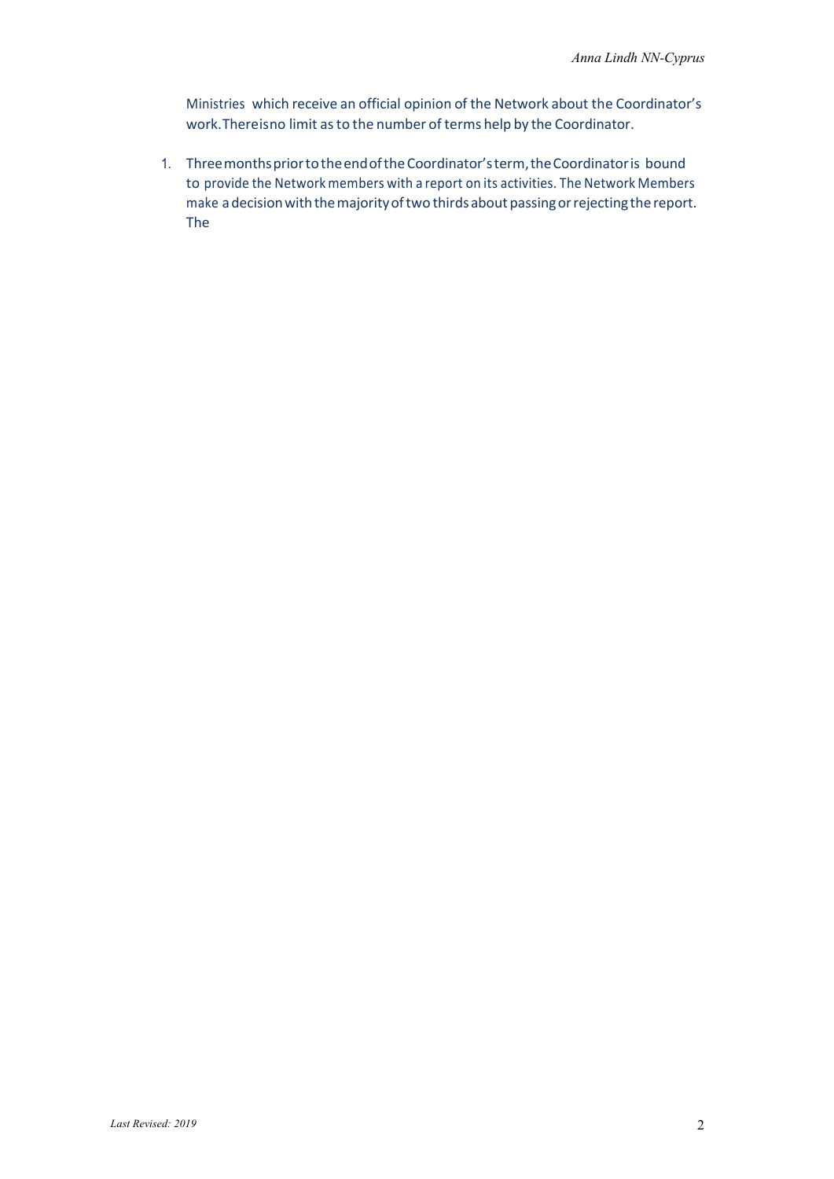Ministries which receive an official opinion of the Network about the Coordinator's work.Thereisno limit asto the number of terms help by the Coordinator.

1. ThreemonthspriortotheendoftheCoordinator'sterm,theCoordinatoris bound to provide the Networkmembers with a report on its activities. The Network Members make a decision with the majority of two thirds about passing or rejecting the report. The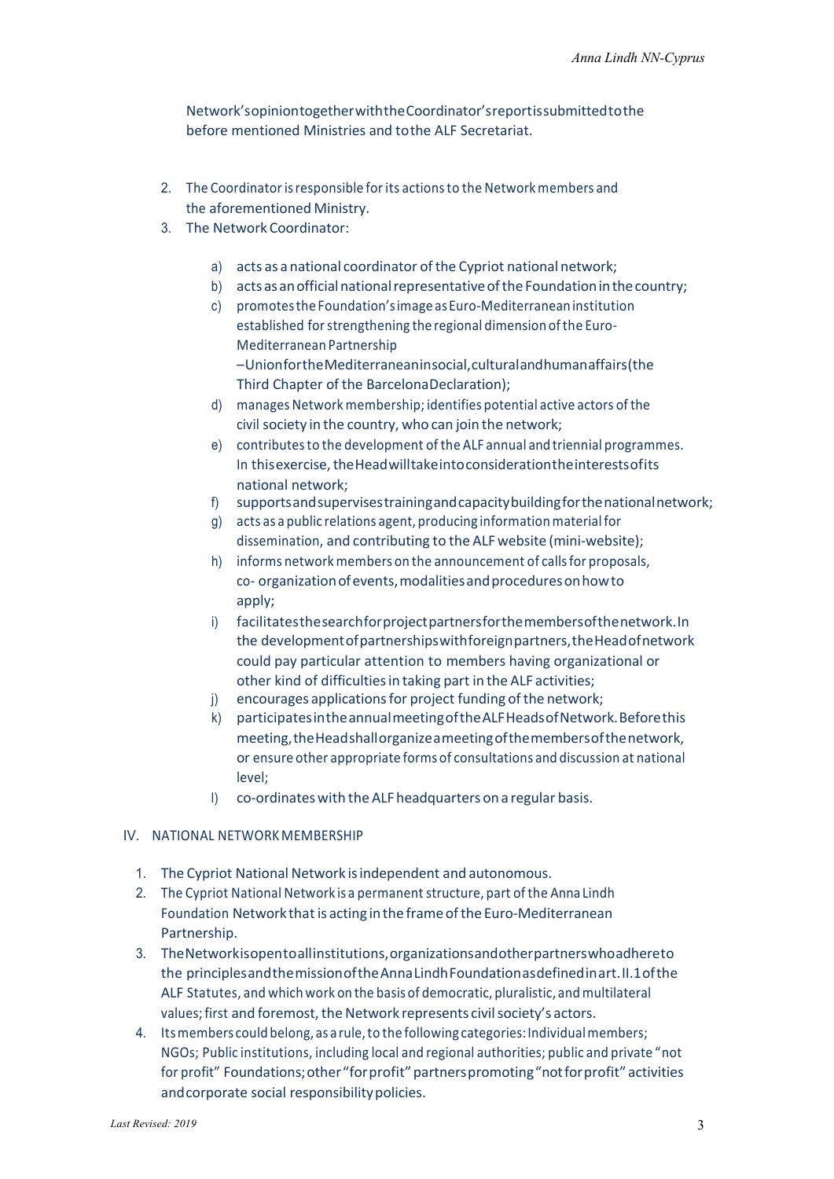Network'sopiniontogetherwiththeCoordinator'sreportissubmittedtothe before mentioned Ministries and tothe ALF Secretariat.

- 2. The Coordinator is responsible for its actions to the Network members and the aforementioned Ministry.
- 3. The Network Coordinator:
	- a) acts as a national coordinator of the Cypriot national network;
	- b) acts as an official national representative of the Foundation in the country;
	- c) promotesthe Foundation'simage asEuro-Mediterraneaninstitution established for strengthening the regional dimension of the Euro-Mediterranean Partnership –UnionfortheMediterraneaninsocial,culturalandhumanaffairs(the Third Chapter of the BarcelonaDeclaration);
	- d) manages Network membership; identifies potential active actors of the civil society in the country, who can join the network;
	- e) contributesto the development of the ALF annual and triennial programmes. In this exercise, the Head will take into consideration the interest sofits national network;
	- f) supportsandsupervisestrainingandcapacitybuildingforthenationalnetwork;
	- g) acts as a public relations agent, producing information material for dissemination, and contributing to the ALF website (mini-website);
	- h) informs networkmembers on the announcement of callsfor proposals, co- organizationofevents,modalitiesandproceduresonhowto apply;
	- i) facilitatesthesearchforprojectpartnersforthemembersofthenetwork.In the developmentofpartnershipswithforeignpartners,theHeadofnetwork could pay particular attention to members having organizational or other kind of difficultiesin taking part in the ALF activities;
	- i) encourages applications for project funding of the network;
	- k) participatesintheannualmeetingoftheALFHeadsofNetwork.Beforethis meeting,theHeadshallorganizeameetingofthemembersofthenetwork, or ensure other appropriate forms of consultations and discussion at national level;
	- l) co-ordinateswith the ALFheadquarters on a regular basis.

## IV. NATIONAL NETWORKMEMBERSHIP

- 1. The Cypriot National Network isindependent and autonomous.
- 2. The Cypriot National Network is a permanent structure, part of the Anna Lindh Foundation Network that is acting inthe frameofthe Euro-Mediterranean Partnership.
- 3. TheNetworkisopentoallinstitutions,organizationsandotherpartnerswhoadhereto the principlesandthemissionoftheAnnaLindhFoundationasdefinedinart.II.1ofthe ALF Statutes, and which work on the basis of democratic, pluralistic, and multilateral values; first and foremost, the Network represents civil society's actors.
- 4. Its members could belong, as a rule, to the following categories: Individual members; NGOs; Public institutions, including local and regional authorities; public and private "not for profit" Foundations;other"forprofit" partnerspromoting"notforprofit" activities andcorporate social responsibilitypolicies.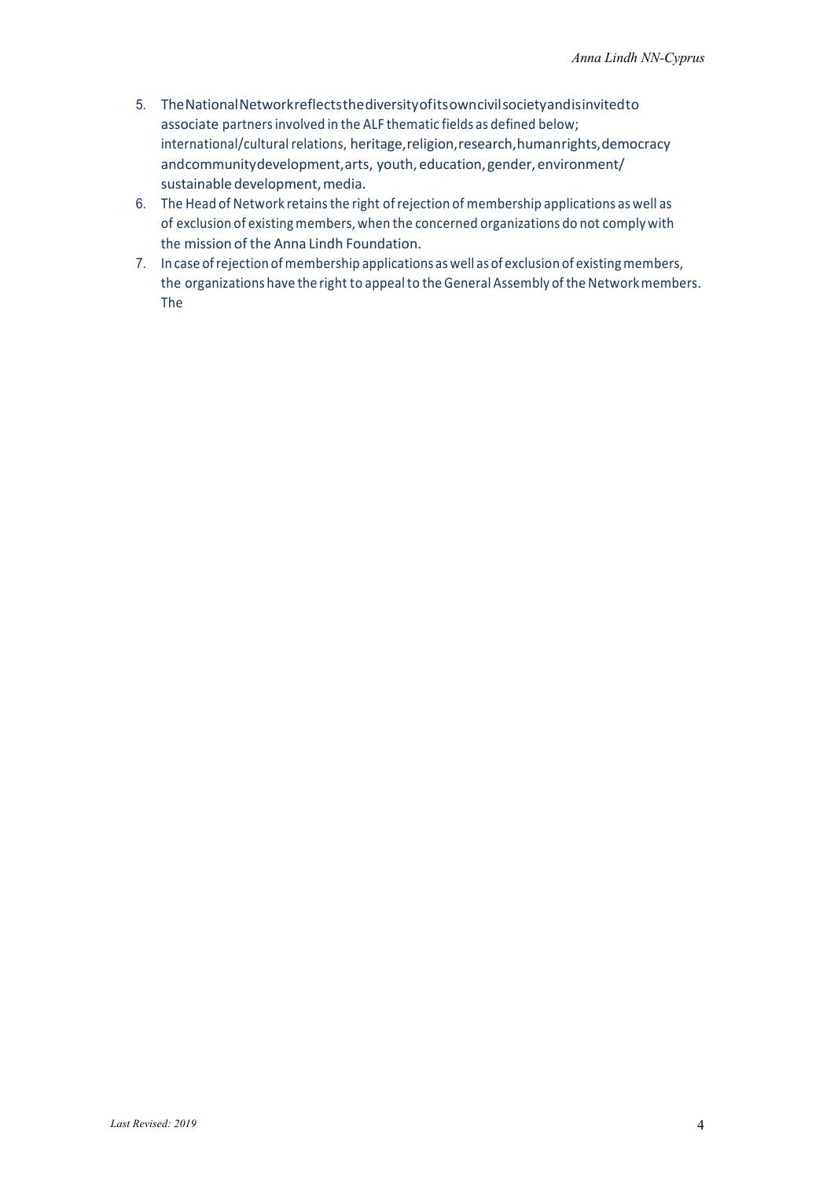- 5. TheNationalNetworkreflectsthediversityofitsowncivilsocietyandisinvitedto associate partners involved in the ALF thematic fields as defined below; international/cultural relations, heritage, religion, research, humanrights, democracy andcommunitydevelopment,arts, youth, education,gender, environment/ sustainable development, media.
- 6. The Head of Network retains the right of rejection of membership applications as well as of exclusion of existingmembers,when the concerned organizations do not comply with the mission of the Anna Lindh Foundation.
- 7. In case of rejection of membership applications as well as of exclusion of existing members, the organizations have the right to appeal to the General Assembly of the Network members. The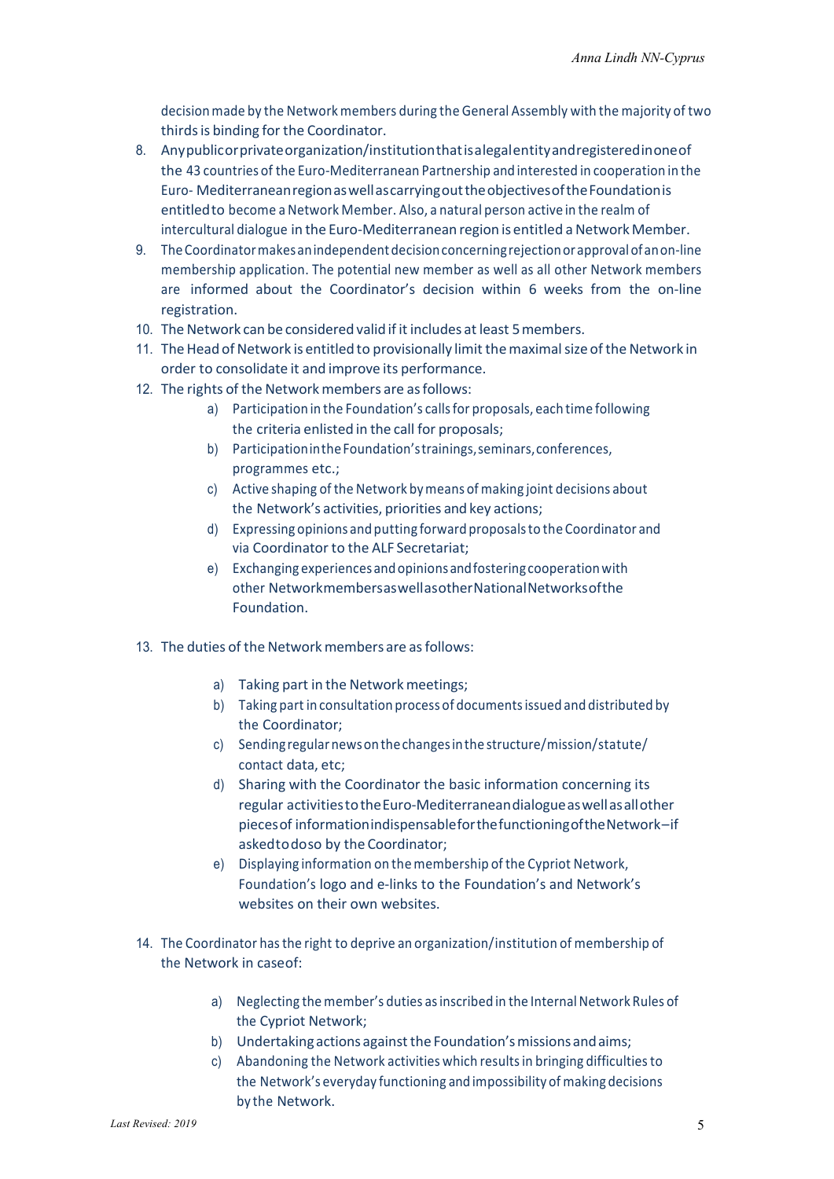decisionmade by the Network members during the General Assembly with the majority of two thirdsis binding for the Coordinator.

- 8. Anypublicorprivateorganization/institutionthatisalegalentityandregisteredinoneof the 43 countries of the Euro-Mediterranean Partnership and interested in cooperation in the Euro- MediterraneanregionaswellascarryingouttheobjectivesoftheFoundationis entitledto become aNetwork Member. Also, a natural person active in the realm of intercultural dialogue in the Euro-Mediterranean region is entitled a Network Member.
- 9. TheCoordinatormakesanindependentdecisionconcerningrejectionorapprovalofanon-line membership application. The potential new member as well as all other Network members are informed about the Coordinator's decision within 6 weeks from the on-line registration.
- 10. The Network can be considered valid if it includes at least 5 members.
- 11. The Head of Network is entitled to provisionally limit the maximal size of the Network in order to consolidate it and improve its performance.
- 12. The rights of the Network members are as follows:
	- a) Participation in the Foundation's callsfor proposals, each time following the criteria enlisted in the call for proposals;
	- b) ParticipationintheFoundation'strainings,seminars,conferences, programmes etc.;
	- c) Active shaping of the Network bymeans ofmaking joint decisions about the Network's activities, priorities and key actions;
	- d) Expressing opinions and putting forward proposals to the Coordinator and via Coordinator to the ALF Secretariat;
	- e) Exchanging experiences andopinionsandfostering cooperationwith other NetworkmembersaswellasotherNationalNetworksofthe Foundation.
- 13. The duties of the Network members are as follows:
	- a) Taking part in the Networkmeetings;
	- b) Taking part in consultation process of documentsissued and distributed by the Coordinator;
	- c) Sendingregularnewson thechangesinthe structure/mission/statute/ contact data, etc;
	- d) Sharing with the Coordinator the basic information concerning its regular activitiestotheEuro-Mediterraneandialogueaswellasallother piecesof informationindispensableforthefunctioningoftheNetwork–if askedtodoso by the Coordinator;
	- e) Displaying information on themembership of the Cypriot Network, Foundation's logo and e-links to the Foundation's and Network's websites on their own websites.
- 14. The Coordinator hasthe right to deprive an organization/institution of membership of the Network in caseof:
	- a) Neglecting the member's duties as inscribed in the Internal Network Rules of the Cypriot Network;
	- b) Undertaking actions against the Foundation's missions and aims;
	- c) Abandoning the Network activities which resultsin bringing difficultiesto the Network's everyday functioning and impossibility of making decisions by the Network.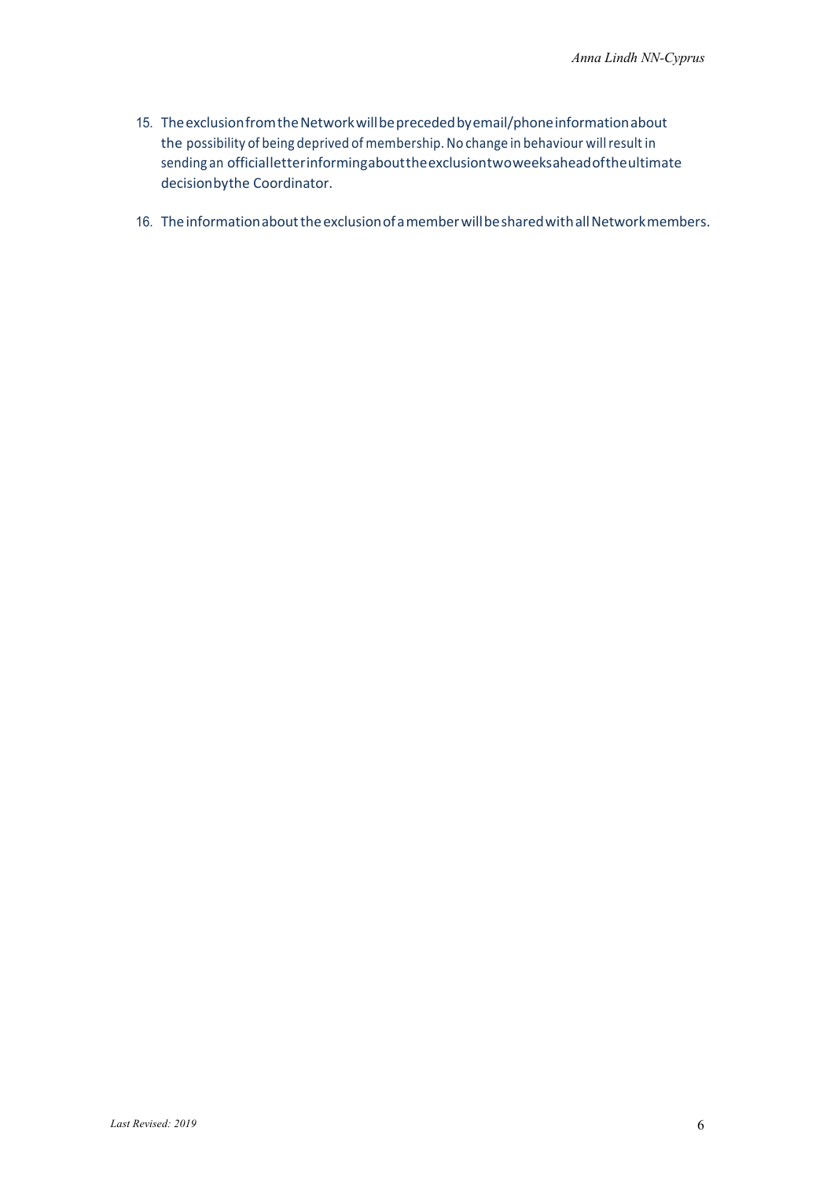- 15. The exclusion from the Network will be preceded by email/phone information about the possibility of being deprived of membership.No change in behaviour willresult in sending an officialletterinformingabouttheexclusiontwoweeksaheadoftheultimate decisionbythe Coordinator.
- 16. The information about the exclusion of a member will be shared with all Network members.